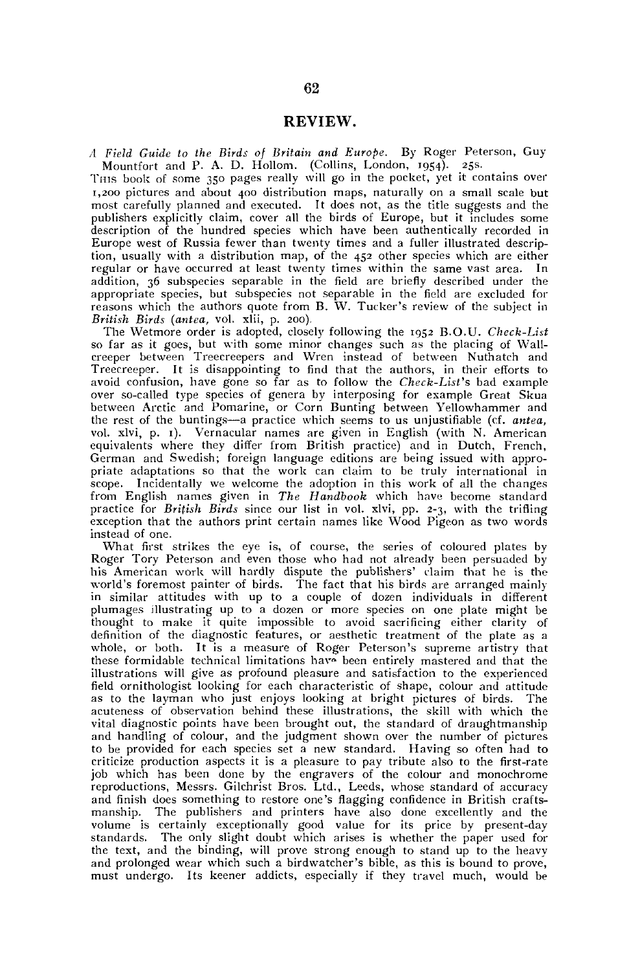## REVIEW.

*A Field Guide to the Birds of Britain and Europe.* By Roger Peterson, Guy Mountfort and P. A. D. Hollom. (Collins, London, 1954). 25s.

THIS book of some 350 pages really will go in the pocket, yet it contains over 1,200 pictures and about 400 distribution maps, naturally on a small scale but most carefully planned and executed. It does not, as the title suggests and the publishers explicitly claim, cover all the birds of Europe, but it includes some description of the hundred species which have been authentically recorded in Europe west of Russia fewer than twenty times and a fuller illustrated description, usually with a distribution map, of the 452 other species which are either regular or have occurred at least twenty times within the same vast area. In addition, 36 subspecies separable in the field are briefly described under the appropriate species, but subspecies not separable in the field are excluded for reasons which the authors quote from B. W. Tucker's review of the subject in *British Birds (antea,* vol. xlii, p. 200).

The Wetmore order is adopted, closely following the 1952 B.O.U. *Cheek-List*  so far as it goes, but with some minor changes such as the placing of Wall-creeper between Treecreepers and Wren instead of between Nuthatch and Treecreeper. It is disappointing to find that the authors, in their efforts to avoid confusion, have gone so far as to follow the *Check-List's* bad example over so-called type species of genera by interposing for example Great Skua between Arctic and Pomarine, or Corn Bunting between Yellowhammer and the rest of the buntings—a practice which seems to us unjustifiable (cf. *antea,*  vol. xlvi, p. 1). Vernacular names are given in English (with N. American equivalents where they differ from British practice) and in Dutch, French, German and Swedish; foreign language editions are being issued with appropriate adaptations so that the work can claim to be truly international in scope. Incidentally we welcome the adoption in this work of all the changes from English names given in *The Handbook* which have become standard practice for *British Birds* since our list in vol. xlvi, pp. 2-3, with the trifling exception that the authors print certain names like Wood Pigeon as two words instead of one.

What first strikes the eye is, of course, the series of coloured plates by Roger Tory Peterson and even those who had not already been persuaded by his American work will hardly dispute the publishers' claim that he is the world's foremost painter of birds. The fact that his birds are arranged mainly in similar attitudes with up to a couple of dozen individuals in different plumages illustrating up to a dozen or more species on one plate might be<br>thought to make it quite impossible to avoid sacrificing either clarity of<br>definition of the diagnostic features, or aesthetic treatment of the plat whole, or both. It is a measure of Roger Peterson's supreme artistry that these formidable technical limitations have been entirely mastered and that the illustrations will give as profound pleasure and satisfaction to the experienced field ornithologist looking for each characteristic of shape, colour and attitude as to the layman who just enjoys looking at bright pictures of birds. The acuteness of observation behind these illustrations, the skill with which the vital diagnostic points have been brought out, the standard of draughtmanship and handling of colour, and the judgment shown over the number of pictures to be provided for each species set a new standard. Having so often had to criticize production aspects it is a pleasure to pay tribute also to the first-rate job which has been done by the engravers of the colour and monochrome reproductions, Messrs. Gilchrist Bros. Ltd., Leeds, whose standard of accuracy and finish does something to restore one's flagging confidence in British craftsmanship. The publishers and printers have also done excellently and the volume is certainly exceptionally good value for its price by present-day standards. The only slight doubt which arises is whether the paper used for the text, and the binding, will prove strong enough to stand up to the heavy and prolonged wear which such a birdwatcher's bible, as this is bound to prove, must undergo. Its keener addicts, especially if they travel much, would be